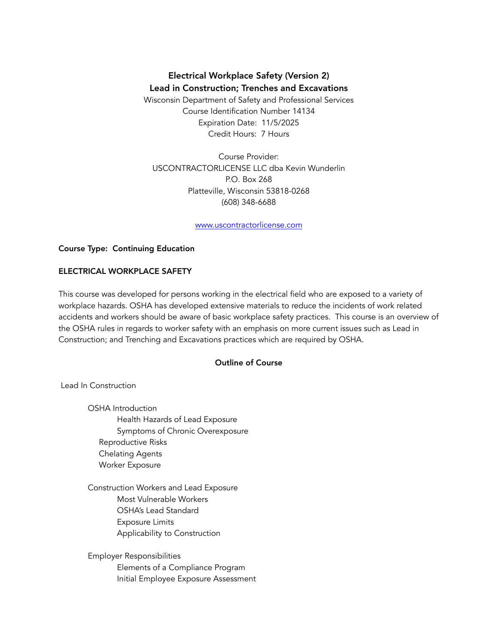# Electrical Workplace Safety (Version 2) Lead in Construction; Trenches and Excavations

Wisconsin Department of Safety and Professional Services Course Identification Number 14134 Expiration Date: 11/5/2025 Credit Hours: 7 Hours

Course Provider: USCONTRACTORLICENSE LLC dba Kevin Wunderlin P.O. Box 268 Platteville, Wisconsin 53818-0268 (608) 348-6688

[www.uscontractorlicense.com](http://www.uscontractorlicense.com/)

## Course Type: Continuing Education

## ELECTRICAL WORKPLACE SAFETY

This course was developed for persons working in the electrical field who are exposed to a variety of workplace hazards. OSHA has developed extensive materials to reduce the incidents of work related accidents and workers should be aware of basic workplace safety practices. This course is an overview of the OSHA rules in regards to worker safety with an emphasis on more current issues such as Lead in Construction; and Trenching and Excavations practices which are required by OSHA.

## Outline of Course

Lead In Construction

OSHA Introduction Health Hazards of Lead Exposure Symptoms of Chronic Overexposure Reproductive Risks Chelating Agents Worker Exposure

Construction Workers and Lead Exposure Most Vulnerable Workers OSHA's Lead Standard Exposure Limits Applicability to Construction

Employer Responsibilities Elements of a Compliance Program Initial Employee Exposure Assessment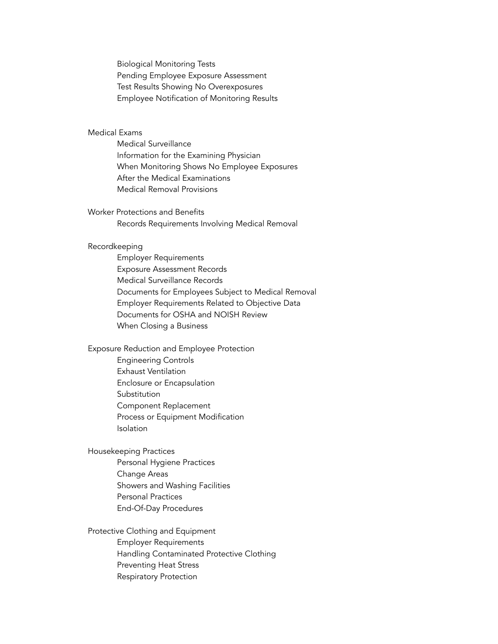Biological Monitoring Tests Pending Employee Exposure Assessment Test Results Showing No Overexposures Employee Notification of Monitoring Results

## Medical Exams

Medical Surveillance Information for the Examining Physician When Monitoring Shows No Employee Exposures After the Medical Examinations Medical Removal Provisions

Worker Protections and Benefits Records Requirements Involving Medical Removal

#### Recordkeeping

Employer Requirements Exposure Assessment Records Medical Surveillance Records Documents for Employees Subject to Medical Removal Employer Requirements Related to Objective Data Documents for OSHA and NOISH Review When Closing a Business

Exposure Reduction and Employee Protection Engineering Controls Exhaust Ventilation Enclosure or Encapsulation Substitution Component Replacement Process or Equipment Modification Isolation

Housekeeping Practices

Personal Hygiene Practices Change Areas Showers and Washing Facilities Personal Practices End-Of-Day Procedures

Protective Clothing and Equipment Employer Requirements Handling Contaminated Protective Clothing Preventing Heat Stress Respiratory Protection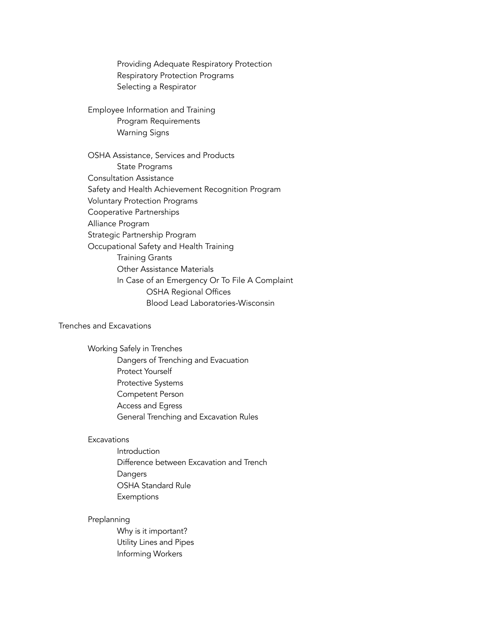Providing Adequate Respiratory Protection Respiratory Protection Programs Selecting a Respirator

Employee Information and Training Program Requirements Warning Signs

OSHA Assistance, Services and Products State Programs Consultation Assistance Safety and Health Achievement Recognition Program Voluntary Protection Programs Cooperative Partnerships Alliance Program Strategic Partnership Program Occupational Safety and Health Training Training Grants Other Assistance Materials In Case of an Emergency Or To File A Complaint OSHA Regional Offices Blood Lead Laboratories-Wisconsin

# Trenches and Excavations

Working Safely in Trenches

Dangers of Trenching and Evacuation Protect Yourself Protective Systems Competent Person Access and Egress General Trenching and Excavation Rules

#### **Excavations**

Introduction Difference between Excavation and Trench **Dangers** OSHA Standard Rule **Exemptions** 

#### Preplanning

Why is it important? Utility Lines and Pipes Informing Workers